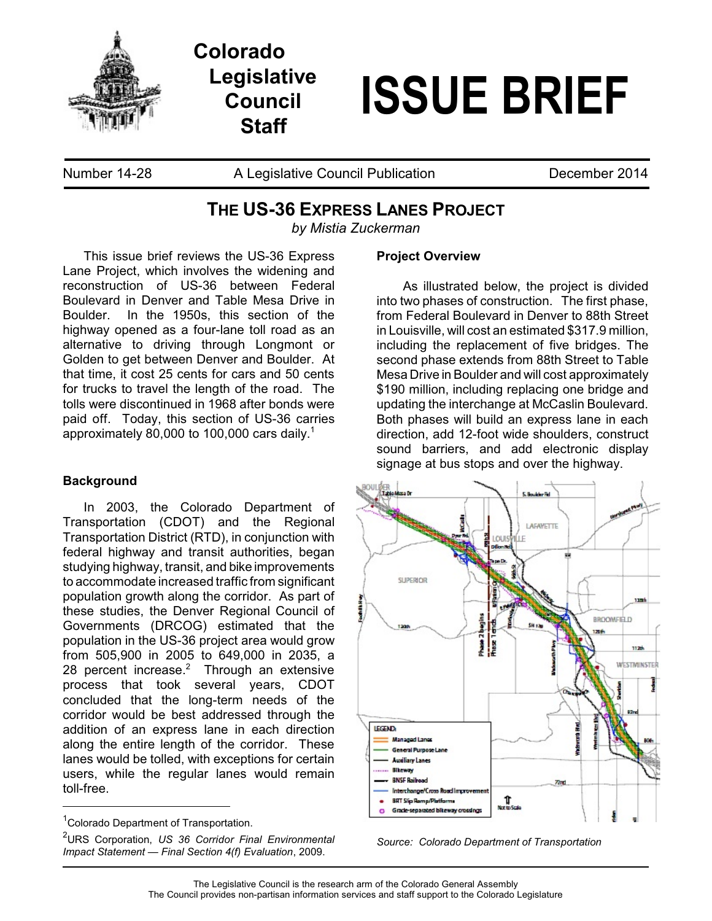

**Colorado Legislative Council Staff**

# **ISSUE BRIEF**

Number 14-28 A Legislative Council Publication **December 2014** 

# **THE US-36 EXPRESS LANES PROJECT**

*by Mistia Zuckerman*

This issue brief reviews the US-36 Express Lane Project, which involves the widening and reconstruction of US-36 between Federal Boulevard in Denver and Table Mesa Drive in Boulder. In the 1950s, this section of the highway opened as a four-lane toll road as an alternative to driving through Longmont or Golden to get between Denver and Boulder. At that time, it cost 25 cents for cars and 50 cents for trucks to travel the length of the road. The tolls were discontinued in 1968 after bonds were paid off. Today, this section of US-36 carries approximately 80,000 to 100,000 cars daily. $^{\rm 1}$ 

## **Background**

In 2003, the Colorado Department of Transportation (CDOT) and the Regional Transportation District (RTD), in conjunction with federal highway and transit authorities, began studying highway, transit, and bike improvements to accommodate increased traffic from significant population growth along the corridor. As part of these studies, the Denver Regional Council of Governments (DRCOG) estimated that the population in the US-36 project area would grow from 505,900 in 2005 to 649,000 in 2035, a 28 percent increase. $2$  Through an extensive process that took several years, CDOT concluded that the long-term needs of the corridor would be best addressed through the addition of an express lane in each direction along the entire length of the corridor. These lanes would be tolled, with exceptions for certain users, while the regular lanes would remain toll-free.

#### **Project Overview**

As illustrated below, the project is divided into two phases of construction. The first phase, from Federal Boulevard in Denver to 88th Street in Louisville, will cost an estimated \$317.9 million, including the replacement of five bridges. The second phase extends from 88th Street to Table Mesa Drive in Boulder and will cost approximately \$190 million, including replacing one bridge and updating the interchange at McCaslin Boulevard. Both phases will build an express lane in each direction, add 12-foot wide shoulders, construct sound barriers, and add electronic display signage at bus stops and over the highway.



*Source: Colorado Department of Transportation*

<sup>&</sup>lt;sup>1</sup>Colorado Department of Transportation.

<sup>2</sup> URS Corporation, *US 36 Corridor Final Environmental Impact Statement — Final Section 4(f) Evaluation*, 2009.